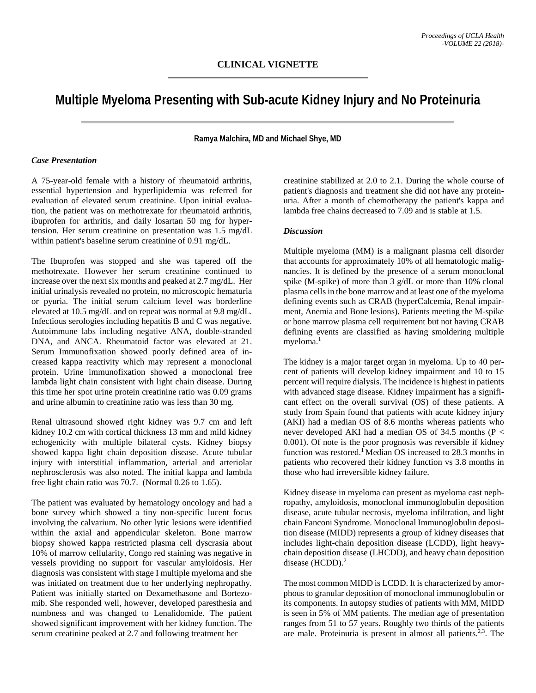# **Multiple Myeloma Presenting with Sub-acute Kidney Injury and No Proteinuria**

**Ramya Malchira, MD and Michael Shye, MD**

## *Case Presentation*

A 75-year-old female with a history of rheumatoid arthritis, essential hypertension and hyperlipidemia was referred for evaluation of elevated serum creatinine. Upon initial evaluation, the patient was on methotrexate for rheumatoid arthritis, ibuprofen for arthritis, and daily losartan 50 mg for hypertension. Her serum creatinine on presentation was 1.5 mg/dL within patient's baseline serum creatinine of 0.91 mg/dL.

The Ibuprofen was stopped and she was tapered off the methotrexate. However her serum creatinine continued to increase over the next six months and peaked at 2.7 mg/dL. Her initial urinalysis revealed no protein, no microscopic hematuria or pyuria. The initial serum calcium level was borderline elevated at 10.5 mg/dL and on repeat was normal at 9.8 mg/dL. Infectious serologies including hepatitis B and C was negative. Autoimmune labs including negative ANA, double-stranded DNA, and ANCA. Rheumatoid factor was elevated at 21. Serum Immunofixation showed poorly defined area of increased kappa reactivity which may represent a monoclonal protein. Urine immunofixation showed a monoclonal free lambda light chain consistent with light chain disease. During this time her spot urine protein creatinine ratio was 0.09 grams and urine albumin to creatinine ratio was less than 30 mg.

Renal ultrasound showed right kidney was 9.7 cm and left kidney 10.2 cm with cortical thickness 13 mm and mild kidney echogenicity with multiple bilateral cysts. Kidney biopsy showed kappa light chain deposition disease. Acute tubular injury with interstitial inflammation, arterial and arteriolar nephrosclerosis was also noted. The initial kappa and lambda free light chain ratio was 70.7. (Normal 0.26 to 1.65).

The patient was evaluated by hematology oncology and had a bone survey which showed a tiny non-specific lucent focus involving the calvarium. No other lytic lesions were identified within the axial and appendicular skeleton. Bone marrow biopsy showed kappa restricted plasma cell dyscrasia about 10% of marrow cellularity, Congo red staining was negative in vessels providing no support for vascular amyloidosis. Her diagnosis was consistent with stage I multiple myeloma and she was initiated on treatment due to her underlying nephropathy. Patient was initially started on Dexamethasone and Bortezomib. She responded well, however, developed paresthesia and numbness and was changed to Lenalidomide. The patient showed significant improvement with her kidney function. The serum creatinine peaked at 2.7 and following treatment her

creatinine stabilized at 2.0 to 2.1. During the whole course of patient's diagnosis and treatment she did not have any proteinuria. After a month of chemotherapy the patient's kappa and lambda free chains decreased to 7.09 and is stable at 1.5.

## *Discussion*

Multiple myeloma (MM) is a malignant plasma cell disorder that accounts for approximately 10% of all hematologic malignancies. It is defined by the presence of a serum monoclonal spike (M-spike) of more than 3 g/dL or more than 10% clonal plasma cells in the bone marrow and at least one of the myeloma defining events such as CRAB (hyperCalcemia, Renal impairment, Anemia and Bone lesions). Patients meeting the M-spike or bone marrow plasma cell requirement but not having CRAB defining events are classified as having smoldering multiple myeloma. 1

The kidney is a major target organ in myeloma. Up to 40 percent of patients will develop kidney impairment and 10 to 15 percent will require dialysis. The incidence is highest in patients with advanced stage disease. Kidney impairment has a significant effect on the overall survival (OS) of these patients. A study from Spain found that patients with acute kidney injury (AKI) had a median OS of 8.6 months whereas patients who never developed AKI had a median OS of 34.5 months ( $P <$ 0.001). Of note is the poor prognosis was reversible if kidney function was restored.<sup>1</sup> Median OS increased to 28.3 months in patients who recovered their kidney function vs 3.8 months in those who had irreversible kidney failure.

Kidney disease in myeloma can present as myeloma cast nephropathy, amyloidosis, monoclonal immunoglobulin deposition disease, acute tubular necrosis, myeloma infiltration, and light chain Fanconi Syndrome. Monoclonal Immunoglobulin deposition disease (MIDD) represents a group of kidney diseases that includes light-chain deposition disease (LCDD), light heavychain deposition disease (LHCDD), and heavy chain deposition disease (HCDD).<sup>2</sup>

The most common MIDD is LCDD. It is characterized by amorphous to granular deposition of monoclonal immunoglobulin or its components. In autopsy studies of patients with MM, MIDD is seen in 5% of MM patients. The median age of presentation ranges from 51 to 57 years. Roughly two thirds of the patients are male. Proteinuria is present in almost all patients.2,3. The